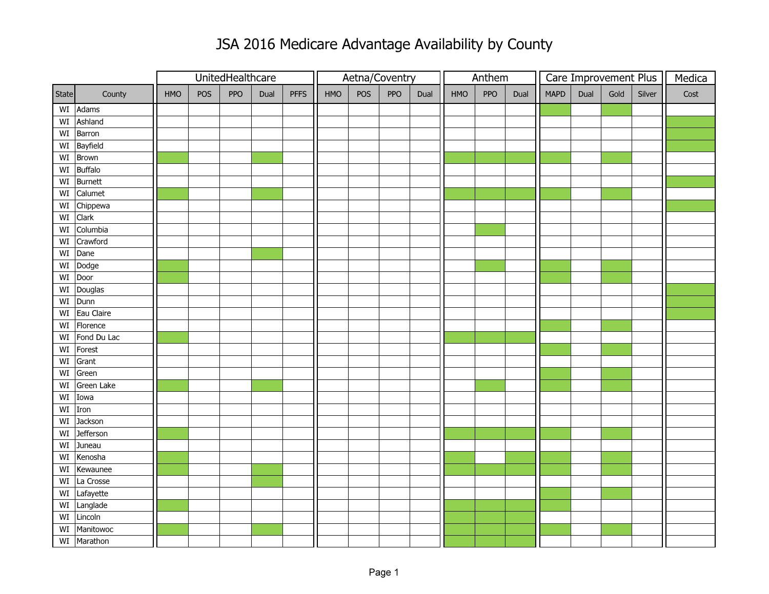## JSA 2016 Medicare Advantage Availability by County

|         |                               |     |     | UnitedHealthcare |      |             | Aetna/Coventry |     |     |      | Anthem |     |      | Care Improvement Plus |      |      |        | Medica |
|---------|-------------------------------|-----|-----|------------------|------|-------------|----------------|-----|-----|------|--------|-----|------|-----------------------|------|------|--------|--------|
| State   | County                        | HMO | POS | PPO              | Dual | <b>PFFS</b> | HMO            | POS | PPO | Dual | HMO    | PPO | Dual | <b>MAPD</b>           | Dual | Gold | Silver | Cost   |
|         | WI Adams                      |     |     |                  |      |             |                |     |     |      |        |     |      |                       |      |      |        |        |
|         | WI Ashland                    |     |     |                  |      |             |                |     |     |      |        |     |      |                       |      |      |        |        |
|         | $\overline{\text{WI}}$ Barron |     |     |                  |      |             |                |     |     |      |        |     |      |                       |      |      |        |        |
|         | WI Bayfield                   |     |     |                  |      |             |                |     |     |      |        |     |      |                       |      |      |        |        |
| WI      | Brown                         |     |     |                  |      |             |                |     |     |      |        |     |      |                       |      |      |        |        |
| WI      | <b>Buffalo</b>                |     |     |                  |      |             |                |     |     |      |        |     |      |                       |      |      |        |        |
|         | WI Burnett                    |     |     |                  |      |             |                |     |     |      |        |     |      |                       |      |      |        |        |
| WI      | Calumet                       |     |     |                  |      |             |                |     |     |      |        |     |      |                       |      |      |        |        |
| WI      | Chippewa                      |     |     |                  |      |             |                |     |     |      |        |     |      |                       |      |      |        |        |
|         | WI Clark                      |     |     |                  |      |             |                |     |     |      |        |     |      |                       |      |      |        |        |
| WI      | Columbia                      |     |     |                  |      |             |                |     |     |      |        |     |      |                       |      |      |        |        |
| WI      | Crawford                      |     |     |                  |      |             |                |     |     |      |        |     |      |                       |      |      |        |        |
| WI      | Dane                          |     |     |                  |      |             |                |     |     |      |        |     |      |                       |      |      |        |        |
| WI      | Dodge                         |     |     |                  |      |             |                |     |     |      |        |     |      |                       |      |      |        |        |
| WI Door |                               |     |     |                  |      |             |                |     |     |      |        |     |      |                       |      |      |        |        |
| WI      | Douglas                       |     |     |                  |      |             |                |     |     |      |        |     |      |                       |      |      |        |        |
|         | WI Dunn                       |     |     |                  |      |             |                |     |     |      |        |     |      |                       |      |      |        |        |
|         | WI Eau Claire                 |     |     |                  |      |             |                |     |     |      |        |     |      |                       |      |      |        |        |
|         | $WI$ Florence                 |     |     |                  |      |             |                |     |     |      |        |     |      |                       |      |      |        |        |
| WI      | Fond Du Lac                   |     |     |                  |      |             |                |     |     |      |        |     |      |                       |      |      |        |        |
| WI      | Forest                        |     |     |                  |      |             |                |     |     |      |        |     |      |                       |      |      |        |        |
| WI      | Grant                         |     |     |                  |      |             |                |     |     |      |        |     |      |                       |      |      |        |        |
| WI      | Green                         |     |     |                  |      |             |                |     |     |      |        |     |      |                       |      |      |        |        |
| WI      | Green Lake                    |     |     |                  |      |             |                |     |     |      |        |     |      |                       |      |      |        |        |
| WI      | Iowa                          |     |     |                  |      |             |                |     |     |      |        |     |      |                       |      |      |        |        |
| WI      | Iron                          |     |     |                  |      |             |                |     |     |      |        |     |      |                       |      |      |        |        |
| WI      | Jackson                       |     |     |                  |      |             |                |     |     |      |        |     |      |                       |      |      |        |        |
| WI      | <b>Jefferson</b>              |     |     |                  |      |             |                |     |     |      |        |     |      |                       |      |      |        |        |
| WI      | Juneau                        |     |     |                  |      |             |                |     |     |      |        |     |      |                       |      |      |        |        |
| WI      | Kenosha                       |     |     |                  |      |             |                |     |     |      |        |     |      |                       |      |      |        |        |
| WI      | Kewaunee                      |     |     |                  |      |             |                |     |     |      |        |     |      |                       |      |      |        |        |
| WI      | La Crosse                     |     |     |                  |      |             |                |     |     |      |        |     |      |                       |      |      |        |        |
|         | WI Lafayette                  |     |     |                  |      |             |                |     |     |      |        |     |      |                       |      |      |        |        |
|         | WI Langlade                   |     |     |                  |      |             |                |     |     |      |        |     |      |                       |      |      |        |        |
|         | WI Lincoln                    |     |     |                  |      |             |                |     |     |      |        |     |      |                       |      |      |        |        |
| WI      | Manitowoc                     |     |     |                  |      |             |                |     |     |      |        |     |      |                       |      |      |        |        |
|         | WI Marathon                   |     |     |                  |      |             |                |     |     |      |        |     |      |                       |      |      |        |        |